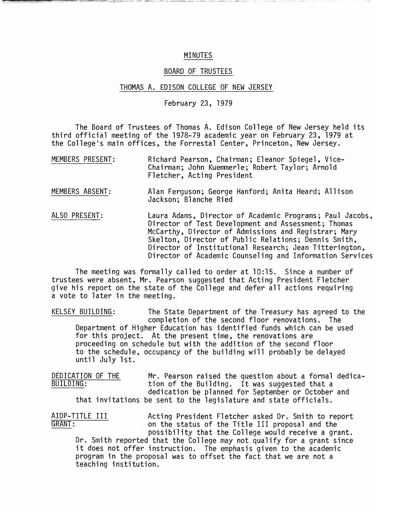## MINUTES

## BOARD OF TRUSTEES

## THOMAS A. EDISON COLLEGE OF NEW JERSEY

February 23, 1979

The Board of Trustees of Thomas A. Edison College of New Jersey held its third official meeting of the 1978-79 academic year on February 23, 1979 at the College's main offices, the Forrestal Center, Princeton, New Jersey.

- MEMBERS PRESENT: Richard Pearson, Chairman; Eleanor Spiegel, Vice-Chairman; John Kuemmerle; Robert Taylor; Arnold Fletcher, Acting President
- MEMBERS ABSENT: Alan Ferguson; George Hanford; Anita Heard; Allison Jackson; Blanche Ried
- ALSO PRESENT: Laura Adams, Director of Academic Programs; Paul Jacobs, Director of Test Development and Assessment; Thomas McCarthy, Director of Admissions and Registrar; Mary Skelton, Director of Public Relations; Dennis Smith, Director of Institutional Research; Jean Titterington, Director of Academic Counseling and Information Services

The meeting was formally called to order at 10:15. Since a number of trustees were absent, Mr. Pearson suggested that Acting President Fletcher give his report on the state of the College and defer all actions requiring a vote to later in the meeting.

KELSEY BUILDING: The State Department of the Treasury has agreed to the completion of the second floor renovations. The Department of Higher Education has identified funds which can be used for this project. At the present time, the renovations are proceeding on schedule but with the addition of the second floor to the schedule, occupancy of the building will probably be delayed until July 1st.

DEDICATION OF THE Mr. Pearson raised the question about a formal dedica-<br>BUILDING: tion of the Building. It was suggested that a tion of the Building. It was suggested that a dedication be planned for September or October and that invitations be sent to the legislature and state officials.

AIDP-TITLE III Acting President Fletcher asked Dr. Smith to report<br>GRANT: on the status of the Title III proposal and the on the status of the Title III proposal and the possibility that the College would receive a grant. Dr. Smith reported that the College may not qualify for a grant since it does not offer instruction. The emphasis given to the academic program in the proposal was to offset the fact that we are not a teaching institution.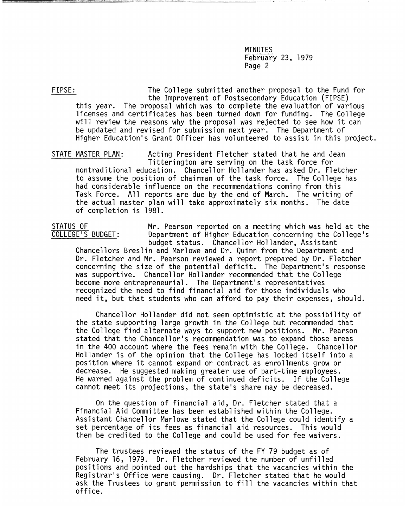FIPSE: The College submitted another proposal to the Fund for the Improvement of Postsecondary Education (FIPSE) this year. The proposal which was to complete the evaluation of various licenses and certificates has been turned down for funding. The College will review the reasons why the proposal was rejected to see how it can be updated and revised for submission next year. The Department of Higher Education's Grant Officer has volunteered to assist in this project.

STATE MASTER PLAN: Acting President Fletcher stated that he and Jean Titterington are serving on the task force for nontraditional education. Chancellor Hollander has asked Dr. Fletcher to assume the position of chairman of the task force. The College has had considerable influence on the recommendations coming from this Task Force. All reports are due by the end of March. The writing of the actual master plan will take approximately six months. The date of completion is 1981.

STATUS OF Mr. Pearson reported on a meeting which was held at the<br>COLLEGE'S BUDGET: Department of Higher Education concerning the College's Department of Higher Education concerning the College's budget status. Chancellor Hollander, Assistant Chancellors Breslin and Marlowe and Dr. Quinn from the Department and Dr. Fletcher and Mr. Pearson reviewed a report prepared by Dr. Fletcher concerning the size of the potential deficit. The Department's response was supportive. Chancellor Hollander recommended that the College become more entrepreneurial. The Department's representatives recognized the need to find financial aid for those individuals who need it, but that students who can afford to pay their expenses, should.

Chancellor Hollander did not seem optimistic at the possibility of the state supporting large growth in the College but recommended that the College find alternate ways to support new positions. Mr. Pearson stated that the Chancellor's recommendation was to expand those areas in the 400 account where the fees remain with the College. Chancellor Hollander is of the opinion that the College has locked itself into a position where it cannot expand or contract as enrollments grow or decrease. He suggested making greater use of part-time employees. He warned against the problem of continued deficits. If the College cannot meet its projections, the state's share may be decreased.

On the question of financial aid, Dr. Fletcher stated that a Financial Aid Committee has been established within the College. Assistant Chancellor Marlowe stated that the College could identify a set percentage of its fees as financial aid resources. This would then be credited to the College and could be used for fee waivers.

The trustees reviewed the status of the FY 79 budget as of February 16, 1979. Dr. Fletcher reviewed the number of unfilled positions and pointed out the hardships that the vacancies within the Registrar's Office were causing. Dr. Fletcher stated that he would ask the Trustees to grant permission to fill the vacancies within that office.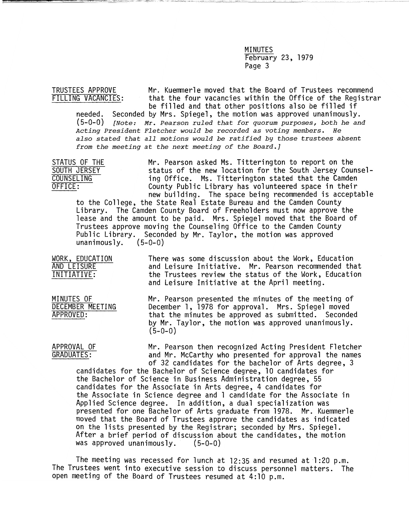TRUSTEES APPROVE Mr. Kuemmerle moved that the Board of Trustees recommend<br>FILLING VACANCIES: that the four vacancies within the Office of the Registra that the four vacancies within the Office of the Registrar be filled and that other positions also be filled if

needed. Seconded by Mrs. Spiegel, the motion was approved unanimously. *(5-0-0) [Note: Mr. Pearson ruled that for quorum purposes, both he and Acting President Fletcher would be recorded as voting members. He also stated that all motions would be ratified by those trustees absent from the meeting at the next meeting of the Board.]* 

STATUS OF THE Mr. Pearson asked Ms. Titterington to report on the<br>SOUTH JERSEY status of the new location for the South Jersey Cour SOUTH JERSEY status of the new location for the South Jersey Counsel-<br>COUNSELING ing Office. Ms. Titterington stated that the Camden COUNSELING ing Office. Ms. Titterington stated that the Camden<br>OFFICE: County Public Library has volunteered space in their County Public Library has volunteered space in their

new building. The space being recommended is acceptable<br>to the College, the State Real Estate Bureau and the Camden County Library. The Camden County Board of Freeholders must now approve the lease and the amount to be paid. Mrs. Spiegel moved that the Board of Trustees approve moving the Counseling Office to the Camden County Public Library. Seconded by Mr. Taylor, the motion was approved unanimously.  $(5-0-0)$ 

WORK, EDUCATION There was some discussion about the Work, Education<br>AND LEISURE There and Leisure Initiative. Mr. Pearson recommended the AND LEISURE and Leisure Initiative. Mr. Pearson recommended that<br>INITIATIVE: the Trustees review the status of the Work, Education the Trustees review the status of the Work, Education and Leisure Initiative at the April meeting.

MINUTES OF Mr. Pearson presented the minutes of the meeting of<br>DECEMBER MEETING December 1, 1978 for approval. Mrs. Spiegel moved DECEMBER MEETING December 1, 1978 for approval. Mrs. Spiegel moved<br>APPROVED: that the minutes be approved as submitted. Seconde that the minutes be approved as submitted. Seconded by Mr. Taylor, the motion was approved unanimously.  $(5-0-0)$ 

APPROVAL OF Mr. Pearson then recognized Acting President Fletcher<br>GRADUATES: and Mr. McCarthy who presented for approval the names and Mr. McCarthy who presented for approval the names of 32 candidates for the bachelor of Arts degree, 3

candidates for the Bachelor of Science degree, 10 candidates for the Bachelor of Science in Business Administration degree, 55 candidates for the Associate in Arts degree, 4 candidates for the Associate in Science degree and 1 candidate for the Associate in Applied Science degree. In addition, a dual specialization was presented for one Bachelor of Arts graduate from 1978. Mr. Kuemmerle moved that the Board of Trustees approve the candidates as indicated<br>on the lists presented by the Registrar; seconded by Mrs. Spiegel. After a brief period of discussion about the candidates, the motion was approved unanimously.  $(5-0-0)$ was approved unanimously.

The meeting was recessed for lunch at 12:35 and resumed at 1:20 p.m. The Trustees went into executive session to discuss personnel matters. The open meeting of the Board of Trustees resumed at 4:10 p.m.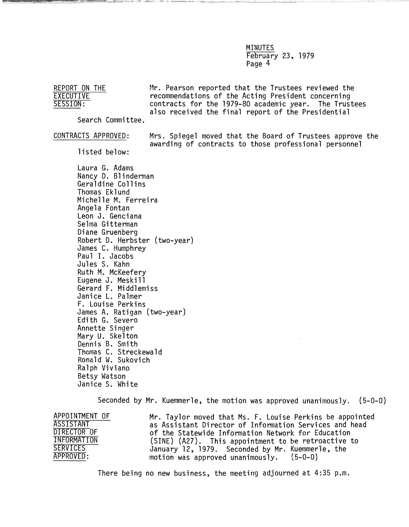REPORT ON THE Mr. Pearson reported that the Trustees reviewed the<br>EXECUTIVE ecommendations of the Acting President concerning EXECUTIVE recommendations of the Acting President concerning<br>SESSION: contracts for the 1979-80 academic year. The Trustees also received the final report of the Presidential

Search Committee.

CONTRACTS APPROVED: Mrs. Spiegel moved that the Board of Trustees approve the awarding of contracts to those professional personnel

listed below:

Laura G. Adams Nancy D. Blinderman Geraldine Collins Thomas Eklund Michelle M. Ferreira Angela Fontan Leon J. Genciana Selma Gitterman Diane Gruenberg Robert D. Herbster (two-year) James C. Humphrey Paul I. Jacobs Jules S. Kahn Ruth M. McKeefery Eugene J. Meskill Gerard F. Middlemiss Janice L. Palmer F. Louise Perkins James A. Ratigan (two-year) Edith G. Severo Annette Singer Mary U. Skelton Dennis B. Smith Thomas C. Streckewald Ronald W. Sukovich Ralph Viviano Betsy Watson Janice S. White

Seconded by Mr. Kuemmerle, the motion was approved unanimously. (5-0-0)

APPOINTMENT OF Mr. Taylor moved that Ms. F. Louise Perkins be appointed ASSISTANT as Assistant Director of Information Services and head DIRECTOR OF of the Statewide Information Network for Education INFORMATION (SINE) (A27). This appointment to be retroactive to<br>SERVICES January 12.1979 Seconded by Mr. Kuemmerle, the SERVICES January 12, 1979. Seconded by Mr. Kuemmerle, the January 12, 1979. Seconded by Mr. Kuemmerle, the motion was approved unanimously.  $(5-0-0)$ 

There being no new business, the meeting adjourned at 4:35 p.m.